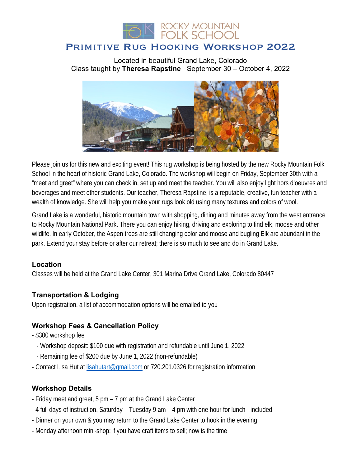

# Primitive Rug Hooking Workshop 2022

Located in beautiful Grand Lake, Colorado Class taught by **Theresa Rapstine** September 30 – October 4, 2022



Please join us for this new and exciting event! This rug workshop is being hosted by the new Rocky Mountain Folk School in the heart of historic Grand Lake, Colorado. The workshop will begin on Friday, September 30th with a "meet and greet" where you can check in, set up and meet the teacher. You will also enjoy light hors d'oeuvres and beverages and meet other students. Our teacher, Theresa Rapstine, is a reputable, creative, fun teacher with a wealth of knowledge. She will help you make your rugs look old using many textures and colors of wool.

Grand Lake is a wonderful, historic mountain town with shopping, dining and minutes away from the west entrance to Rocky Mountain National Park. There you can enjoy hiking, driving and exploring to find elk, moose and other wildlife. In early October, the Aspen trees are still changing color and moose and bugling Elk are abundant in the park. Extend your stay before or after our retreat; there is so much to see and do in Grand Lake.

#### **Location**

Classes will be held at the Grand Lake Center, 301 Marina Drive Grand Lake, Colorado 80447

#### **Transportation & Lodging**

Upon registration, a list of accommodation options will be emailed to you

#### **Workshop Fees & Cancellation Policy**

- \$300 workshop fee
	- Workshop deposit: \$100 due with registration and refundable until June 1, 2022
	- Remaining fee of \$200 due by June 1, 2022 (non-refundable)
- Contact Lisa Hut at lisahutart@gmail.com or 720.201.0326 for registration information

#### **Workshop Details**

- Friday meet and greet, 5 pm 7 pm at the Grand Lake Center
- 4 full days of instruction, Saturday Tuesday 9 am 4 pm with one hour for lunch included
- Dinner on your own & you may return to the Grand Lake Center to hook in the evening
- Monday afternoon mini-shop; if you have craft items to sell; now is the time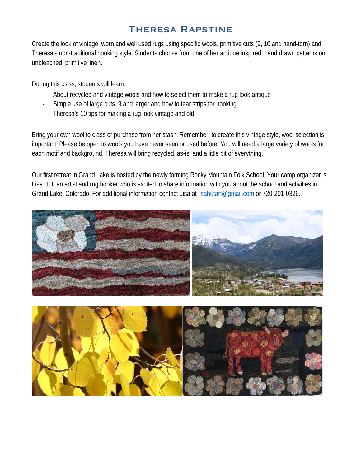# Theresa Rapstine

Create the look of vintage, worn and well used rugs using specific wools, primitive cuts (9, 10 and hand-torn) and Theresa's non-traditional hooking style. Students choose from one of her antique inspired, hand drawn patterns on unbleached, primitive linen.

During this class, students will learn:

- About recycled and vintage wools and how to select them to make a rug look antique
- Simple use of large cuts, 9 and larger and how to tear strips for hooking
- Theresa's 10 tips for making a rug look vintage and old

Bring your own wool to class or purchase from her stash. Remember, to create this vintage style, wool selection is important. Please be open to wools you have never seen or used before. You will need a large variety of wools for each motif and background. Theresa will bring recycled, as-is, and a little bit of everything.

Our first retreat in Grand Lake is hosted by the newly forming Rocky Mountain Folk School. Your camp organizer is Lisa Hut, an artist and rug hooker who is excited to share information with you about the school and activities in Grand Lake, Colorado. For additional information contact Lisa at lisahutart@gmail.com or 720-201-0326.